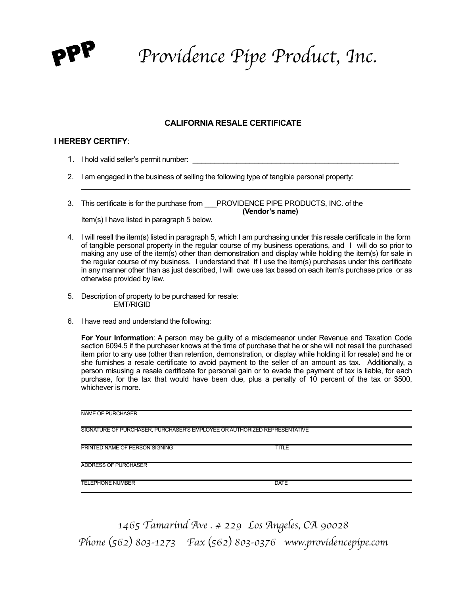

PPP *Providence Pipe Product, Inc.* 

## **CALIFORNIA RESALE CERTIFICATE**

## **I HEREBY CERTIFY**:

- 1. I hold valid seller's permit number:
- 2. I am engaged in the business of selling the following type of tangible personal property: \_\_\_\_\_\_\_\_\_\_\_\_\_\_\_\_\_\_\_\_\_\_\_\_\_\_\_\_\_\_\_\_\_\_\_\_\_\_\_\_\_\_\_\_\_\_\_\_\_\_\_\_\_\_\_\_\_\_\_\_\_\_\_\_\_\_\_\_\_\_\_\_\_\_\_

3. This certificate is for the purchase from PROVIDENCE PIPE PRODUCTS, INC. of the **(Vendor's name)** 

Item(s) I have listed in paragraph 5 below.

- 4. I will resell the item(s) listed in paragraph 5, which I am purchasing under this resale certificate in the form of tangible personal property in the regular course of my business operations, and I will do so prior to making any use of the item(s) other than demonstration and display while holding the item(s) for sale in the regular course of my business. I understand that If I use the item(s) purchases under this certificate in any manner other than as just described, I will owe use tax based on each item's purchase price or as otherwise provided by law.
- 5. Description of property to be purchased for resale: EMT/RIGID
- 6. I have read and understand the following:

**For Your Information**: A person may be guilty of a misdemeanor under Revenue and Taxation Code section 6094.5 if the purchaser knows at the time of purchase that he or she will not resell the purchased item prior to any use (other than retention, demonstration, or display while holding it for resale) and he or she furnishes a resale certificate to avoid payment to the seller of an amount as tax. Additionally, a person misusing a resale certificate for personal gain or to evade the payment of tax is liable, for each purchase, for the tax that would have been due, plus a penalty of 10 percent of the tax or \$500, whichever is more.

| NAME OF PURCHASER                                                         |              |  |
|---------------------------------------------------------------------------|--------------|--|
| SIGNATURE OF PURCHASER, PURCHASER'S EMPLOYEE OR AUTHORIZED REPRESENTATIVE |              |  |
| PRINTED NAME OF PERSON SIGNING                                            | <b>TITLE</b> |  |
| <b>ADDRESS OF PURCHASER</b>                                               |              |  |
| <b>TELEPHONE NUMBER</b>                                                   | <b>DATE</b>  |  |

*1465 Tamarind Ave . # 229 Los Angeles, CA 90028 Phone* (*562*) *803-1273 Fax* (*562*) *803-0376 www.providencepipe.com*